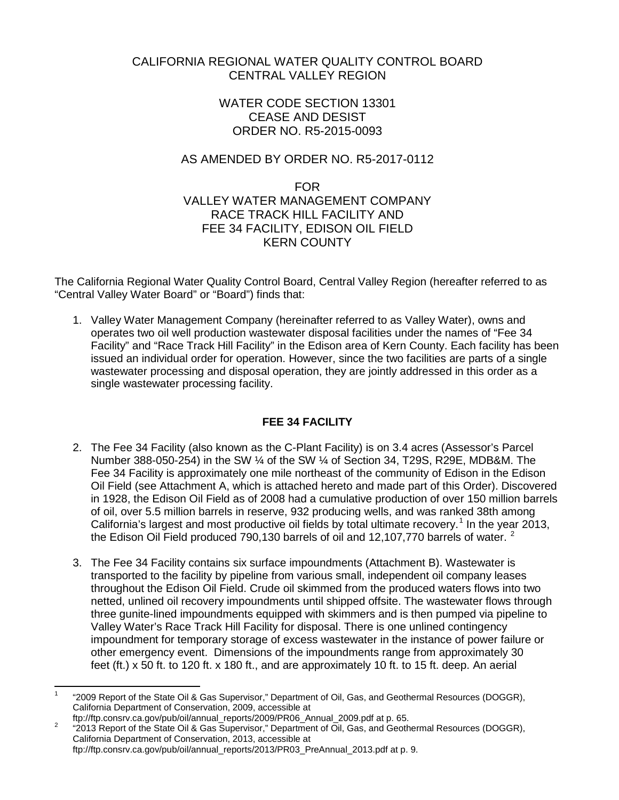# CALIFORNIA REGIONAL WATER QUALITY CONTROL BOARD CENTRAL VALLEY REGION

# WATER CODE SECTION 13301 CEASE AND DESIST ORDER NO. R5-2015-0093

# AS AMENDED BY ORDER NO. R5-2017-0112

# FOR VALLEY WATER MANAGEMENT COMPANY RACE TRACK HILL FACILITY AND FEE 34 FACILITY, EDISON OIL FIELD KERN COUNTY

The California Regional Water Quality Control Board, Central Valley Region (hereafter referred to as "Central Valley Water Board" or "Board") finds that:

1. Valley Water Management Company (hereinafter referred to as Valley Water), owns and operates two oil well production wastewater disposal facilities under the names of "Fee 34 Facility" and "Race Track Hill Facility" in the Edison area of Kern County. Each facility has been issued an individual order for operation. However, since the two facilities are parts of a single wastewater processing and disposal operation, they are jointly addressed in this order as a single wastewater processing facility.

# **FEE 34 FACILITY**

- 2. The Fee 34 Facility (also known as the C-Plant Facility) is on 3.4 acres (Assessor's Parcel Number 388-050-254) in the SW ¼ of the SW ¼ of Section 34, T29S, R29E, MDB&M. The Fee 34 Facility is approximately one mile northeast of the community of Edison in the Edison Oil Field (see Attachment A, which is attached hereto and made part of this Order). Discovered in 1928, the Edison Oil Field as of 2008 had a cumulative production of over 150 million barrels of oil, over 5.5 million barrels in reserve, 932 producing wells, and was ranked 38th among California's largest and most productive oil fields by total ultimate recovery.<sup>[1](#page-0-0)</sup> In the year 2013, the Edison Oil Field produced 790,130 barrels of oil and 1[2](#page-0-1),107,770 barrels of water.  $2$
- 3. The Fee 34 Facility contains six surface impoundments (Attachment B). Wastewater is transported to the facility by pipeline from various small, independent oil company leases throughout the Edison Oil Field. Crude oil skimmed from the produced waters flows into two netted, unlined oil recovery impoundments until shipped offsite. The wastewater flows through three gunite-lined impoundments equipped with skimmers and is then pumped via pipeline to Valley Water's Race Track Hill Facility for disposal. There is one unlined contingency impoundment for temporary storage of excess wastewater in the instance of power failure or other emergency event. Dimensions of the impoundments range from approximately 30 feet (ft.) x 50 ft. to 120 ft. x 180 ft., and are approximately 10 ft. to 15 ft. deep. An aerial

<span id="page-0-0"></span><sup>1</sup> "2009 Report of the State Oil & Gas Supervisor," Department of Oil, Gas, and Geothermal Resources (DOGGR), California Department of Conservation, 2009, accessible at

<span id="page-0-1"></span>ftp://ftp.consrucargov/pub/oil/annual\_reports/2009/Prosent.com/2009/Pannual\_2009/Pannual\_Prose.<br><sup>2</sup> "2013 Report of the State Oil & Gas Supervisor," Department of Oil, Gas, and Geothermal Resources (DOGGR), California Department of Conservation, 2013, accessible at ftp://ftp.consrv.ca.gov/pub/oil/annual\_reports/2013/PR03\_PreAnnual\_2013.pdf at p. 9.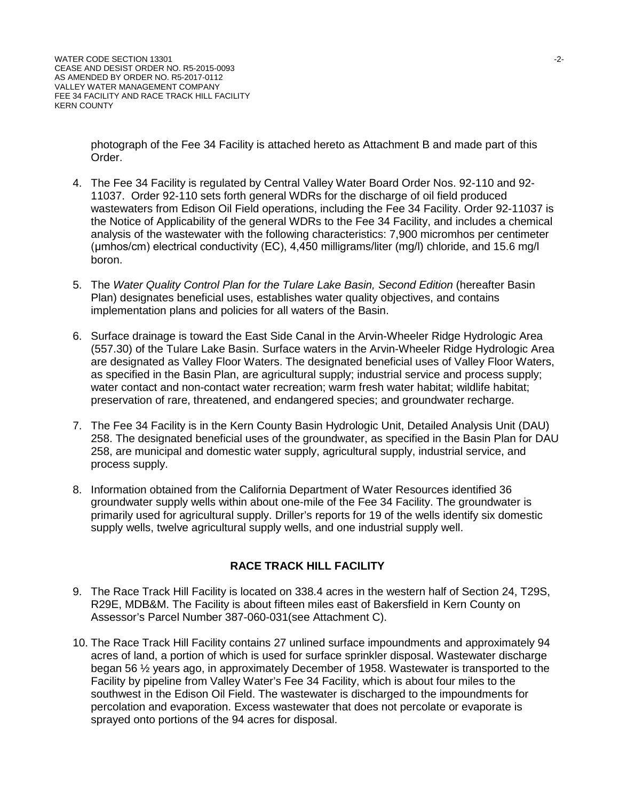photograph of the Fee 34 Facility is attached hereto as Attachment B and made part of this Order.

- 4. The Fee 34 Facility is regulated by Central Valley Water Board Order Nos. 92-110 and 92- 11037. Order 92-110 sets forth general WDRs for the discharge of oil field produced wastewaters from Edison Oil Field operations, including the Fee 34 Facility. Order 92-11037 is the Notice of Applicability of the general WDRs to the Fee 34 Facility, and includes a chemical analysis of the wastewater with the following characteristics: 7,900 micromhos per centimeter (μmhos/cm) electrical conductivity (EC), 4,450 milligrams/liter (mg/l) chloride, and 15.6 mg/l boron.
- 5. The Water Quality Control Plan for the Tulare Lake Basin, Second Edition (hereafter Basin Plan) designates beneficial uses, establishes water quality objectives, and contains implementation plans and policies for all waters of the Basin.
- 6. Surface drainage is toward the East Side Canal in the Arvin-Wheeler Ridge Hydrologic Area (557.30) of the Tulare Lake Basin. Surface waters in the Arvin-Wheeler Ridge Hydrologic Area are designated as Valley Floor Waters. The designated beneficial uses of Valley Floor Waters, as specified in the Basin Plan, are agricultural supply; industrial service and process supply; water contact and non-contact water recreation; warm fresh water habitat; wildlife habitat; preservation of rare, threatened, and endangered species; and groundwater recharge.
- 7. The Fee 34 Facility is in the Kern County Basin Hydrologic Unit, Detailed Analysis Unit (DAU) 258. The designated beneficial uses of the groundwater, as specified in the Basin Plan for DAU 258, are municipal and domestic water supply, agricultural supply, industrial service, and process supply.
- 8. Information obtained from the California Department of Water Resources identified 36 groundwater supply wells within about one-mile of the Fee 34 Facility. The groundwater is primarily used for agricultural supply. Driller's reports for 19 of the wells identify six domestic supply wells, twelve agricultural supply wells, and one industrial supply well.

# **RACE TRACK HILL FACILITY**

- 9. The Race Track Hill Facility is located on 338.4 acres in the western half of Section 24, T29S, R29E, MDB&M. The Facility is about fifteen miles east of Bakersfield in Kern County on Assessor's Parcel Number 387-060-031(see Attachment C).
- 10. The Race Track Hill Facility contains 27 unlined surface impoundments and approximately 94 acres of land, a portion of which is used for surface sprinkler disposal. Wastewater discharge began 56 ½ years ago, in approximately December of 1958. Wastewater is transported to the Facility by pipeline from Valley Water's Fee 34 Facility, which is about four miles to the southwest in the Edison Oil Field. The wastewater is discharged to the impoundments for percolation and evaporation. Excess wastewater that does not percolate or evaporate is sprayed onto portions of the 94 acres for disposal.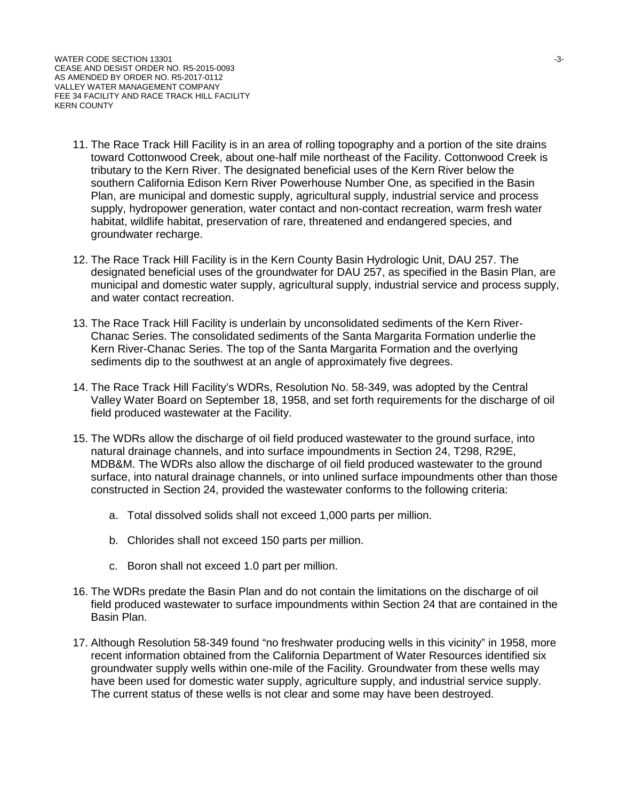- 11. The Race Track Hill Facility is in an area of rolling topography and a portion of the site drains toward Cottonwood Creek, about one-half mile northeast of the Facility. Cottonwood Creek is tributary to the Kern River. The designated beneficial uses of the Kern River below the southern California Edison Kern River Powerhouse Number One, as specified in the Basin Plan, are municipal and domestic supply, agricultural supply, industrial service and process supply, hydropower generation, water contact and non-contact recreation, warm fresh water habitat, wildlife habitat, preservation of rare, threatened and endangered species, and groundwater recharge.
- 12. The Race Track Hill Facility is in the Kern County Basin Hydrologic Unit, DAU 257. The designated beneficial uses of the groundwater for DAU 257, as specified in the Basin Plan, are municipal and domestic water supply, agricultural supply, industrial service and process supply, and water contact recreation.
- 13. The Race Track Hill Facility is underlain by unconsolidated sediments of the Kern River-Chanac Series. The consolidated sediments of the Santa Margarita Formation underlie the Kern River-Chanac Series. The top of the Santa Margarita Formation and the overlying sediments dip to the southwest at an angle of approximately five degrees.
- 14. The Race Track Hill Facility's WDRs, Resolution No. 58-349, was adopted by the Central Valley Water Board on September 18, 1958, and set forth requirements for the discharge of oil field produced wastewater at the Facility.
- 15. The WDRs allow the discharge of oil field produced wastewater to the ground surface, into natural drainage channels, and into surface impoundments in Section 24, T298, R29E, MDB&M. The WDRs also allow the discharge of oil field produced wastewater to the ground surface, into natural drainage channels, or into unlined surface impoundments other than those constructed in Section 24, provided the wastewater conforms to the following criteria:
	- a. Total dissolved solids shall not exceed 1,000 parts per million.
	- b. Chlorides shall not exceed 150 parts per million.
	- c. Boron shall not exceed 1.0 part per million.
- 16. The WDRs predate the Basin Plan and do not contain the limitations on the discharge of oil field produced wastewater to surface impoundments within Section 24 that are contained in the Basin Plan.
- 17. Although Resolution 58-349 found "no freshwater producing wells in this vicinity" in 1958, more recent information obtained from the California Department of Water Resources identified six groundwater supply wells within one-mile of the Facility. Groundwater from these wells may have been used for domestic water supply, agriculture supply, and industrial service supply. The current status of these wells is not clear and some may have been destroyed.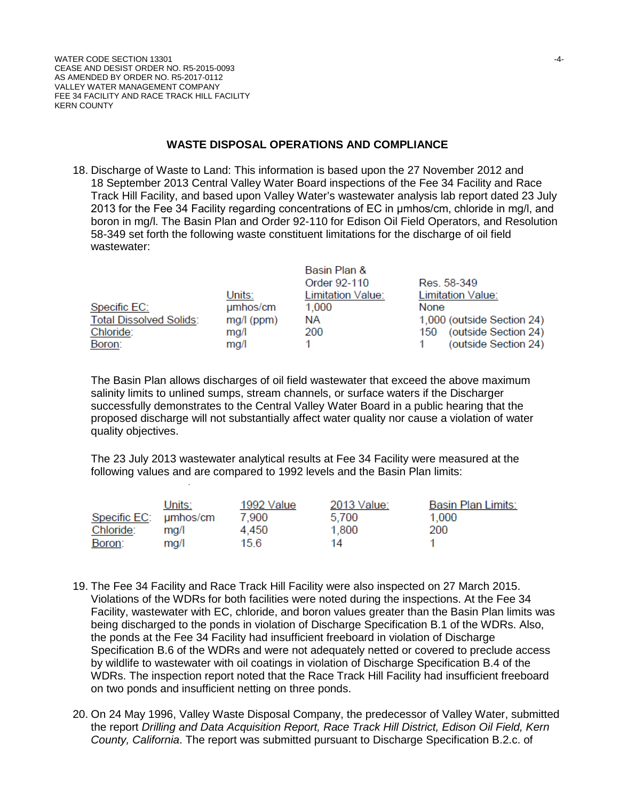#### **WASTE DISPOSAL OPERATIONS AND COMPLIANCE**

18. Discharge of Waste to Land: This information is based upon the 27 November 2012 and 18 September 2013 Central Valley Water Board inspections of the Fee 34 Facility and Race Track Hill Facility, and based upon Valley Water's wastewater analysis lab report dated 23 July 2013 for the Fee 34 Facility regarding concentrations of EC in μmhos/cm, chloride in mg/l, and boron in mg/l. The Basin Plan and Order 92-110 for Edison Oil Field Operators, and Resolution 58-349 set forth the following waste constituent limitations for the discharge of oil field wastewater:

|                                |              | Basin Plan &      |                             |
|--------------------------------|--------------|-------------------|-----------------------------|
|                                |              | Order 92-110      | Res. 58-349                 |
|                                | Units:       | Limitation Value: | Limitation Value:           |
| Specific EC:                   | umhos/cm     | 1,000             | None                        |
| <b>Total Dissolved Solids:</b> | $mg/l$ (ppm) | <b>NA</b>         | 1,000 (outside Section 24)  |
| Chloride:                      | mq/l         | 200               | (outside Section 24)<br>150 |
| Boron:                         | mq/l         |                   | (outside Section 24)        |

The Basin Plan allows discharges of oil field wastewater that exceed the above maximum salinity limits to unlined sumps, stream channels, or surface waters if the Discharger successfully demonstrates to the Central Valley Water Board in a public hearing that the proposed discharge will not substantially affect water quality nor cause a violation of water quality objectives.

The 23 July 2013 wastewater analytical results at Fee 34 Facility were measured at the following values and are compared to 1992 levels and the Basin Plan limits:

|                       | Units: | 1992 Value | 2013 Value: | Basin Plan Limits: |
|-----------------------|--------|------------|-------------|--------------------|
| Specific EC: umhos/cm |        | 7.900      | 5.700       | 1,000              |
| Chloride:             | ma/l   | 4.450      | 1.800       | 200                |
| Boron:                | ma/l   | 15.6       | 14          |                    |

- 19. The Fee 34 Facility and Race Track Hill Facility were also inspected on 27 March 2015. Violations of the WDRs for both facilities were noted during the inspections. At the Fee 34 Facility, wastewater with EC, chloride, and boron values greater than the Basin Plan limits was being discharged to the ponds in violation of Discharge Specification B.1 of the WDRs. Also, the ponds at the Fee 34 Facility had insufficient freeboard in violation of Discharge Specification B.6 of the WDRs and were not adequately netted or covered to preclude access by wildlife to wastewater with oil coatings in violation of Discharge Specification B.4 of the WDRs. The inspection report noted that the Race Track Hill Facility had insufficient freeboard on two ponds and insufficient netting on three ponds.
- 20. On 24 May 1996, Valley Waste Disposal Company, the predecessor of Valley Water, submitted the report *Drilling and Data Acquisition Report, Race Track Hill District, Edison Oil Field, Kern County, California*. The report was submitted pursuant to Discharge Specification B.2.c. of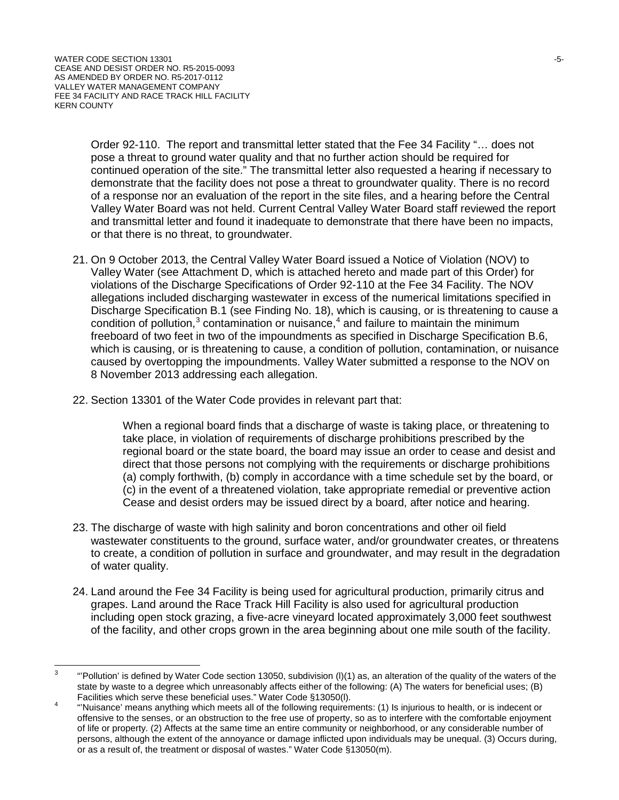Order 92-110. The report and transmittal letter stated that the Fee 34 Facility "… does not pose a threat to ground water quality and that no further action should be required for continued operation of the site." The transmittal letter also requested a hearing if necessary to demonstrate that the facility does not pose a threat to groundwater quality. There is no record of a response nor an evaluation of the report in the site files, and a hearing before the Central Valley Water Board was not held. Current Central Valley Water Board staff reviewed the report and transmittal letter and found it inadequate to demonstrate that there have been no impacts, or that there is no threat, to groundwater.

- 21. On 9 October 2013, the Central Valley Water Board issued a Notice of Violation (NOV) to Valley Water (see Attachment D, which is attached hereto and made part of this Order) for violations of the Discharge Specifications of Order 92-110 at the Fee 34 Facility. The NOV allegations included discharging wastewater in excess of the numerical limitations specified in Discharge Specification B.1 (see Finding No. 18), which is causing, or is threatening to cause a condition of pollution, $3$  contamination or nuisance, $4$  and failure to maintain the minimum freeboard of two feet in two of the impoundments as specified in Discharge Specification B.6, which is causing, or is threatening to cause, a condition of pollution, contamination, or nuisance caused by overtopping the impoundments. Valley Water submitted a response to the NOV on 8 November 2013 addressing each allegation.
- 22. Section 13301 of the Water Code provides in relevant part that:

When a regional board finds that a discharge of waste is taking place, or threatening to take place, in violation of requirements of discharge prohibitions prescribed by the regional board or the state board, the board may issue an order to cease and desist and direct that those persons not complying with the requirements or discharge prohibitions (a) comply forthwith, (b) comply in accordance with a time schedule set by the board, or (c) in the event of a threatened violation, take appropriate remedial or preventive action Cease and desist orders may be issued direct by a board, after notice and hearing.

- 23. The discharge of waste with high salinity and boron concentrations and other oil field wastewater constituents to the ground, surface water, and/or groundwater creates, or threatens to create, a condition of pollution in surface and groundwater, and may result in the degradation of water quality.
- 24. Land around the Fee 34 Facility is being used for agricultural production, primarily citrus and grapes. Land around the Race Track Hill Facility is also used for agricultural production including open stock grazing, a five-acre vineyard located approximately 3,000 feet southwest of the facility, and other crops grown in the area beginning about one mile south of the facility.

<span id="page-4-0"></span> $3$  "Pollution' is defined by Water Code section 13050, subdivision (I)(1) as, an alteration of the quality of the waters of the state by waste to a degree which unreasonably affects either of the following: (A) The waters for beneficial uses; (B)<br>Facilities which serve these beneficial uses." Water Code §13050(I).

<span id="page-4-1"></span>Facilities which serve these beneficial uses. Water Code §130500(i).<br>"Water Water Musiance' means anything which meets all of the following requirements: (1) Is injurious to health, or is indecent or offensive to the senses, or an obstruction to the free use of property, so as to interfere with the comfortable enjoyment of life or property. (2) Affects at the same time an entire community or neighborhood, or any considerable number of persons, although the extent of the annoyance or damage inflicted upon individuals may be unequal. (3) Occurs during, or as a result of, the treatment or disposal of wastes." Water Code §13050(m).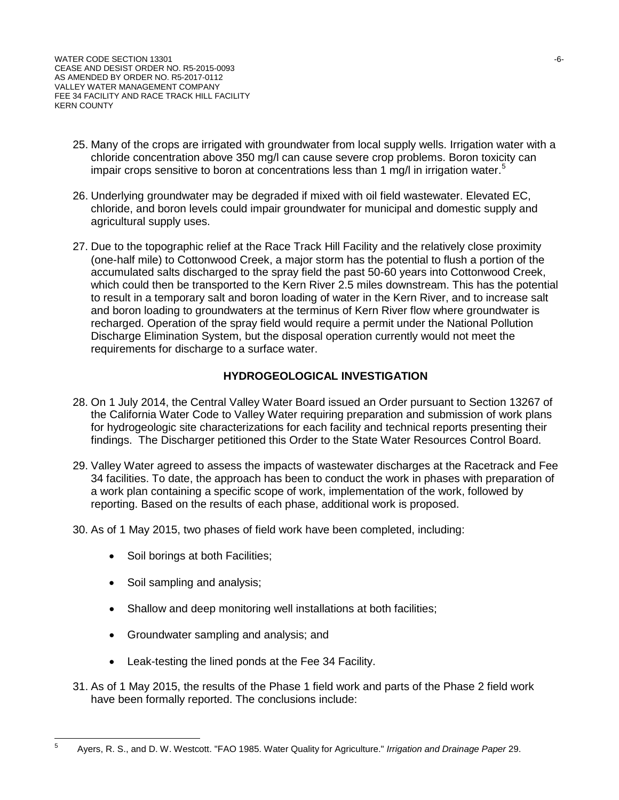- 25. Many of the crops are irrigated with groundwater from local supply wells. Irrigation water with a chloride concentration above 350 mg/l can cause severe crop problems. Boron toxicity can impair crops sensitive to boron at concentrations less than 1 mg/l in irrigation water.<sup>[5](#page-5-0)</sup>
- 26. Underlying groundwater may be degraded if mixed with oil field wastewater. Elevated EC, chloride, and boron levels could impair groundwater for municipal and domestic supply and agricultural supply uses.
- 27. Due to the topographic relief at the Race Track Hill Facility and the relatively close proximity (one-half mile) to Cottonwood Creek, a major storm has the potential to flush a portion of the accumulated salts discharged to the spray field the past 50-60 years into Cottonwood Creek, which could then be transported to the Kern River 2.5 miles downstream. This has the potential to result in a temporary salt and boron loading of water in the Kern River, and to increase salt and boron loading to groundwaters at the terminus of Kern River flow where groundwater is recharged. Operation of the spray field would require a permit under the National Pollution Discharge Elimination System, but the disposal operation currently would not meet the requirements for discharge to a surface water.

### **HYDROGEOLOGICAL INVESTIGATION**

- 28. On 1 July 2014, the Central Valley Water Board issued an Order pursuant to Section 13267 of the California Water Code to Valley Water requiring preparation and submission of work plans for hydrogeologic site characterizations for each facility and technical reports presenting their findings. The Discharger petitioned this Order to the State Water Resources Control Board.
- 29. Valley Water agreed to assess the impacts of wastewater discharges at the Racetrack and Fee 34 facilities. To date, the approach has been to conduct the work in phases with preparation of a work plan containing a specific scope of work, implementation of the work, followed by reporting. Based on the results of each phase, additional work is proposed.
- 30. As of 1 May 2015, two phases of field work have been completed, including:
	- Soil borings at both Facilities;
	- Soil sampling and analysis;
	- Shallow and deep monitoring well installations at both facilities;
	- Groundwater sampling and analysis; and
	- Leak-testing the lined ponds at the Fee 34 Facility.
- 31. As of 1 May 2015, the results of the Phase 1 field work and parts of the Phase 2 field work have been formally reported. The conclusions include:

<span id="page-5-0"></span><sup>5</sup> Ayers, R. S., and D. W. Westcott. "FAO 1985. Water Quality for Agriculture." *Irrigation and Drainage Paper* 29.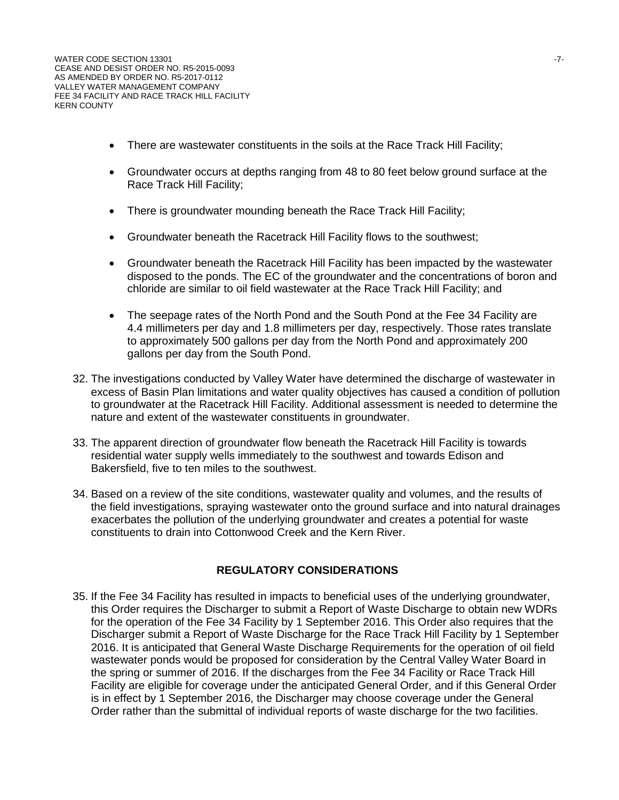- There are wastewater constituents in the soils at the Race Track Hill Facility;
- Groundwater occurs at depths ranging from 48 to 80 feet below ground surface at the Race Track Hill Facility;
- There is groundwater mounding beneath the Race Track Hill Facility;
- Groundwater beneath the Racetrack Hill Facility flows to the southwest;
- Groundwater beneath the Racetrack Hill Facility has been impacted by the wastewater disposed to the ponds. The EC of the groundwater and the concentrations of boron and chloride are similar to oil field wastewater at the Race Track Hill Facility; and
- The seepage rates of the North Pond and the South Pond at the Fee 34 Facility are 4.4 millimeters per day and 1.8 millimeters per day, respectively. Those rates translate to approximately 500 gallons per day from the North Pond and approximately 200 gallons per day from the South Pond.
- 32. The investigations conducted by Valley Water have determined the discharge of wastewater in excess of Basin Plan limitations and water quality objectives has caused a condition of pollution to groundwater at the Racetrack Hill Facility. Additional assessment is needed to determine the nature and extent of the wastewater constituents in groundwater.
- 33. The apparent direction of groundwater flow beneath the Racetrack Hill Facility is towards residential water supply wells immediately to the southwest and towards Edison and Bakersfield, five to ten miles to the southwest.
- 34. Based on a review of the site conditions, wastewater quality and volumes, and the results of the field investigations, spraying wastewater onto the ground surface and into natural drainages exacerbates the pollution of the underlying groundwater and creates a potential for waste constituents to drain into Cottonwood Creek and the Kern River.

#### **REGULATORY CONSIDERATIONS**

35. If the Fee 34 Facility has resulted in impacts to beneficial uses of the underlying groundwater, this Order requires the Discharger to submit a Report of Waste Discharge to obtain new WDRs for the operation of the Fee 34 Facility by 1 September 2016. This Order also requires that the Discharger submit a Report of Waste Discharge for the Race Track Hill Facility by 1 September 2016. It is anticipated that General Waste Discharge Requirements for the operation of oil field wastewater ponds would be proposed for consideration by the Central Valley Water Board in the spring or summer of 2016. If the discharges from the Fee 34 Facility or Race Track Hill Facility are eligible for coverage under the anticipated General Order, and if this General Order is in effect by 1 September 2016, the Discharger may choose coverage under the General Order rather than the submittal of individual reports of waste discharge for the two facilities.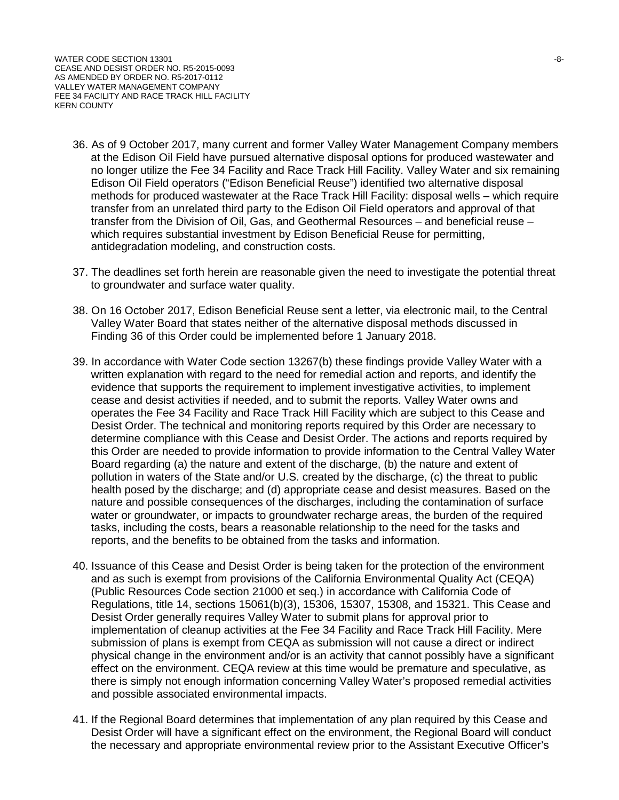- 36. As of 9 October 2017, many current and former Valley Water Management Company members at the Edison Oil Field have pursued alternative disposal options for produced wastewater and no longer utilize the Fee 34 Facility and Race Track Hill Facility. Valley Water and six remaining Edison Oil Field operators ("Edison Beneficial Reuse") identified two alternative disposal methods for produced wastewater at the Race Track Hill Facility: disposal wells – which require transfer from an unrelated third party to the Edison Oil Field operators and approval of that transfer from the Division of Oil, Gas, and Geothermal Resources – and beneficial reuse – which requires substantial investment by Edison Beneficial Reuse for permitting, antidegradation modeling, and construction costs.
- 37. The deadlines set forth herein are reasonable given the need to investigate the potential threat to groundwater and surface water quality.
- 38. On 16 October 2017, Edison Beneficial Reuse sent a letter, via electronic mail, to the Central Valley Water Board that states neither of the alternative disposal methods discussed in Finding 36 of this Order could be implemented before 1 January 2018.
- 39. In accordance with Water Code section 13267(b) these findings provide Valley Water with a written explanation with regard to the need for remedial action and reports, and identify the evidence that supports the requirement to implement investigative activities, to implement cease and desist activities if needed, and to submit the reports. Valley Water owns and operates the Fee 34 Facility and Race Track Hill Facility which are subject to this Cease and Desist Order. The technical and monitoring reports required by this Order are necessary to determine compliance with this Cease and Desist Order. The actions and reports required by this Order are needed to provide information to provide information to the Central Valley Water Board regarding (a) the nature and extent of the discharge, (b) the nature and extent of pollution in waters of the State and/or U.S. created by the discharge, (c) the threat to public health posed by the discharge; and (d) appropriate cease and desist measures. Based on the nature and possible consequences of the discharges, including the contamination of surface water or groundwater, or impacts to groundwater recharge areas, the burden of the required tasks, including the costs, bears a reasonable relationship to the need for the tasks and reports, and the benefits to be obtained from the tasks and information.
- 40. Issuance of this Cease and Desist Order is being taken for the protection of the environment and as such is exempt from provisions of the California Environmental Quality Act (CEQA) (Public Resources Code section 21000 et seq.) in accordance with California Code of Regulations, title 14, sections 15061(b)(3), 15306, 15307, 15308, and 15321. This Cease and Desist Order generally requires Valley Water to submit plans for approval prior to implementation of cleanup activities at the Fee 34 Facility and Race Track Hill Facility. Mere submission of plans is exempt from CEQA as submission will not cause a direct or indirect physical change in the environment and/or is an activity that cannot possibly have a significant effect on the environment. CEQA review at this time would be premature and speculative, as there is simply not enough information concerning Valley Water's proposed remedial activities and possible associated environmental impacts.
- 41. If the Regional Board determines that implementation of any plan required by this Cease and Desist Order will have a significant effect on the environment, the Regional Board will conduct the necessary and appropriate environmental review prior to the Assistant Executive Officer's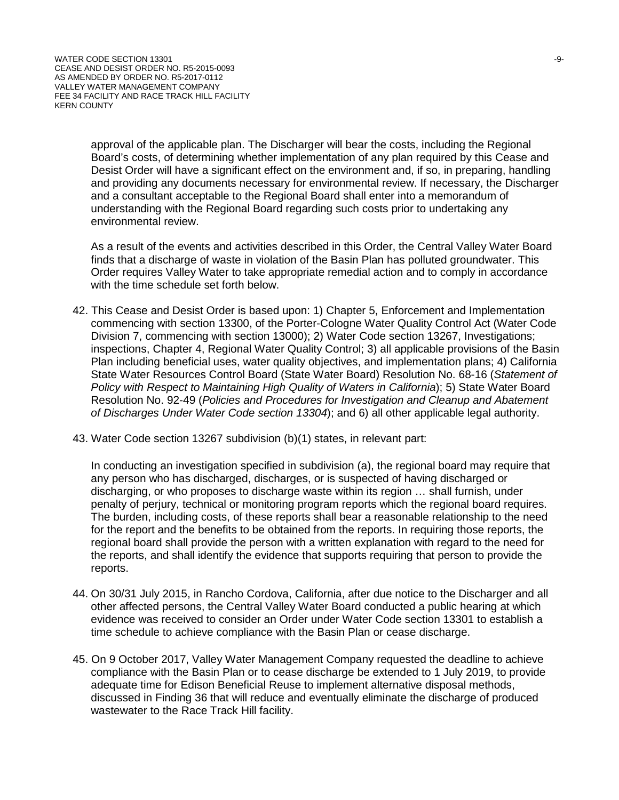approval of the applicable plan. The Discharger will bear the costs, including the Regional Board's costs, of determining whether implementation of any plan required by this Cease and Desist Order will have a significant effect on the environment and, if so, in preparing, handling and providing any documents necessary for environmental review. If necessary, the Discharger and a consultant acceptable to the Regional Board shall enter into a memorandum of understanding with the Regional Board regarding such costs prior to undertaking any environmental review.

As a result of the events and activities described in this Order, the Central Valley Water Board finds that a discharge of waste in violation of the Basin Plan has polluted groundwater. This Order requires Valley Water to take appropriate remedial action and to comply in accordance with the time schedule set forth below.

- 42. This Cease and Desist Order is based upon: 1) Chapter 5, Enforcement and Implementation commencing with section 13300, of the Porter-Cologne Water Quality Control Act (Water Code Division 7, commencing with section 13000); 2) Water Code section 13267, Investigations; inspections, Chapter 4, Regional Water Quality Control; 3) all applicable provisions of the Basin Plan including beneficial uses, water quality objectives, and implementation plans; 4) California State Water Resources Control Board (State Water Board) Resolution No. 68-16 (*Statement of Policy with Respect to Maintaining High Quality of Waters in California*); 5) State Water Board Resolution No. 92-49 (*Policies and Procedures for Investigation and Cleanup and Abatement of Discharges Under Water Code section 13304*); and 6) all other applicable legal authority.
- 43. Water Code section 13267 subdivision (b)(1) states, in relevant part:

In conducting an investigation specified in subdivision (a), the regional board may require that any person who has discharged, discharges, or is suspected of having discharged or discharging, or who proposes to discharge waste within its region … shall furnish, under penalty of perjury, technical or monitoring program reports which the regional board requires. The burden, including costs, of these reports shall bear a reasonable relationship to the need for the report and the benefits to be obtained from the reports. In requiring those reports, the regional board shall provide the person with a written explanation with regard to the need for the reports, and shall identify the evidence that supports requiring that person to provide the reports.

- 44. On 30/31 July 2015, in Rancho Cordova, California, after due notice to the Discharger and all other affected persons, the Central Valley Water Board conducted a public hearing at which evidence was received to consider an Order under Water Code section 13301 to establish a time schedule to achieve compliance with the Basin Plan or cease discharge.
- 45. On 9 October 2017, Valley Water Management Company requested the deadline to achieve compliance with the Basin Plan or to cease discharge be extended to 1 July 2019, to provide adequate time for Edison Beneficial Reuse to implement alternative disposal methods, discussed in Finding 36 that will reduce and eventually eliminate the discharge of produced wastewater to the Race Track Hill facility.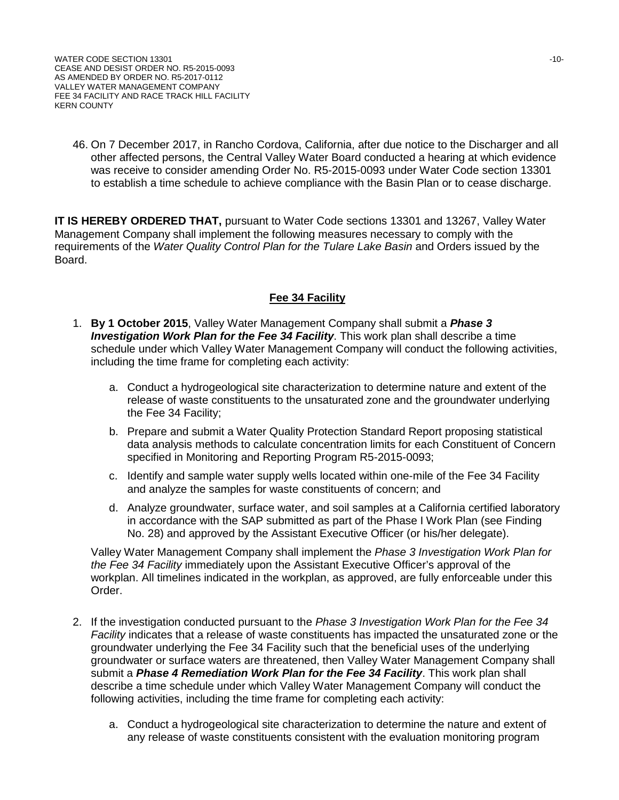46. On 7 December 2017, in Rancho Cordova, California, after due notice to the Discharger and all other affected persons, the Central Valley Water Board conducted a hearing at which evidence was receive to consider amending Order No. R5-2015-0093 under Water Code section 13301 to establish a time schedule to achieve compliance with the Basin Plan or to cease discharge.

**IT IS HEREBY ORDERED THAT,** pursuant to Water Code sections 13301 and 13267, Valley Water Management Company shall implement the following measures necessary to comply with the requirements of the *Water Quality Control Plan for the Tulare Lake Basin* and Orders issued by the Board.

### **Fee 34 Facility**

- 1. **By 1 October 2015**, Valley Water Management Company shall submit a *Phase 3 Investigation Work Plan for the Fee 34 Facility*. This work plan shall describe a time schedule under which Valley Water Management Company will conduct the following activities, including the time frame for completing each activity:
	- a. Conduct a hydrogeological site characterization to determine nature and extent of the release of waste constituents to the unsaturated zone and the groundwater underlying the Fee 34 Facility;
	- b. Prepare and submit a Water Quality Protection Standard Report proposing statistical data analysis methods to calculate concentration limits for each Constituent of Concern specified in Monitoring and Reporting Program R5-2015-0093;
	- c. Identify and sample water supply wells located within one-mile of the Fee 34 Facility and analyze the samples for waste constituents of concern; and
	- d. Analyze groundwater, surface water, and soil samples at a California certified laboratory in accordance with the SAP submitted as part of the Phase I Work Plan (see Finding No. 28) and approved by the Assistant Executive Officer (or his/her delegate).

Valley Water Management Company shall implement the *Phase 3 Investigation Work Plan for the Fee 34 Facility* immediately upon the Assistant Executive Officer's approval of the workplan. All timelines indicated in the workplan, as approved, are fully enforceable under this Order.

- 2. If the investigation conducted pursuant to the *Phase 3 Investigation Work Plan for the Fee 34 Facility* indicates that a release of waste constituents has impacted the unsaturated zone or the groundwater underlying the Fee 34 Facility such that the beneficial uses of the underlying groundwater or surface waters are threatened, then Valley Water Management Company shall submit a *Phase 4 Remediation Work Plan for the Fee 34 Facility*. This work plan shall describe a time schedule under which Valley Water Management Company will conduct the following activities, including the time frame for completing each activity:
	- a. Conduct a hydrogeological site characterization to determine the nature and extent of any release of waste constituents consistent with the evaluation monitoring program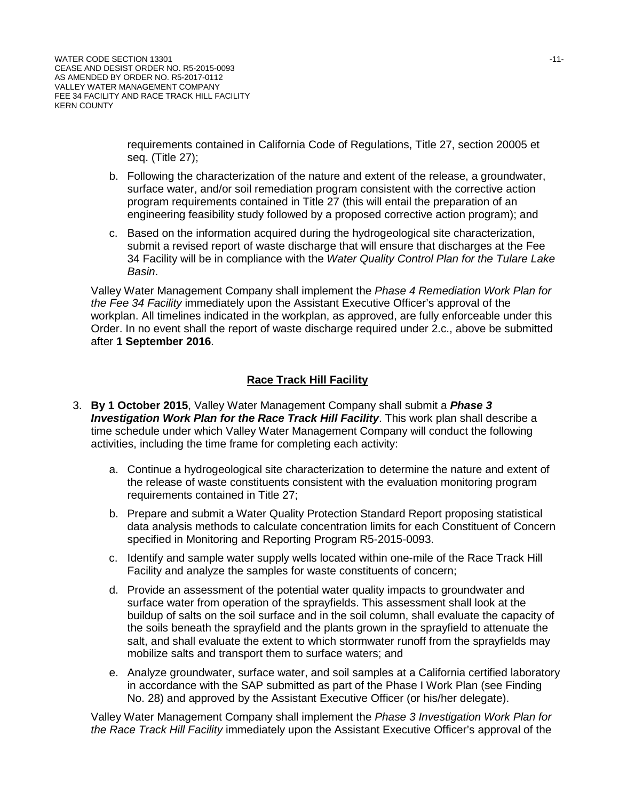requirements contained in California Code of Regulations, Title 27, section 20005 et seq. (Title 27);

- b. Following the characterization of the nature and extent of the release, a groundwater, surface water, and/or soil remediation program consistent with the corrective action program requirements contained in Title 27 (this will entail the preparation of an engineering feasibility study followed by a proposed corrective action program); and
- c. Based on the information acquired during the hydrogeological site characterization, submit a revised report of waste discharge that will ensure that discharges at the Fee 34 Facility will be in compliance with the *Water Quality Control Plan for the Tulare Lake Basin*.

Valley Water Management Company shall implement the *Phase 4 Remediation Work Plan for the Fee 34 Facility* immediately upon the Assistant Executive Officer's approval of the workplan. All timelines indicated in the workplan, as approved, are fully enforceable under this Order. In no event shall the report of waste discharge required under 2.c., above be submitted after **1 September 2016**.

# **Race Track Hill Facility**

- 3. **By 1 October 2015**, Valley Water Management Company shall submit a *Phase 3 Investigation Work Plan for the Race Track Hill Facility*. This work plan shall describe a time schedule under which Valley Water Management Company will conduct the following activities, including the time frame for completing each activity:
	- a. Continue a hydrogeological site characterization to determine the nature and extent of the release of waste constituents consistent with the evaluation monitoring program requirements contained in Title 27;
	- b. Prepare and submit a Water Quality Protection Standard Report proposing statistical data analysis methods to calculate concentration limits for each Constituent of Concern specified in Monitoring and Reporting Program R5-2015-0093.
	- c. Identify and sample water supply wells located within one-mile of the Race Track Hill Facility and analyze the samples for waste constituents of concern;
	- d. Provide an assessment of the potential water quality impacts to groundwater and surface water from operation of the sprayfields. This assessment shall look at the buildup of salts on the soil surface and in the soil column, shall evaluate the capacity of the soils beneath the sprayfield and the plants grown in the sprayfield to attenuate the salt, and shall evaluate the extent to which stormwater runoff from the sprayfields may mobilize salts and transport them to surface waters; and
	- e. Analyze groundwater, surface water, and soil samples at a California certified laboratory in accordance with the SAP submitted as part of the Phase I Work Plan (see Finding No. 28) and approved by the Assistant Executive Officer (or his/her delegate).

Valley Water Management Company shall implement the *Phase 3 Investigation Work Plan for the Race Track Hill Facility* immediately upon the Assistant Executive Officer's approval of the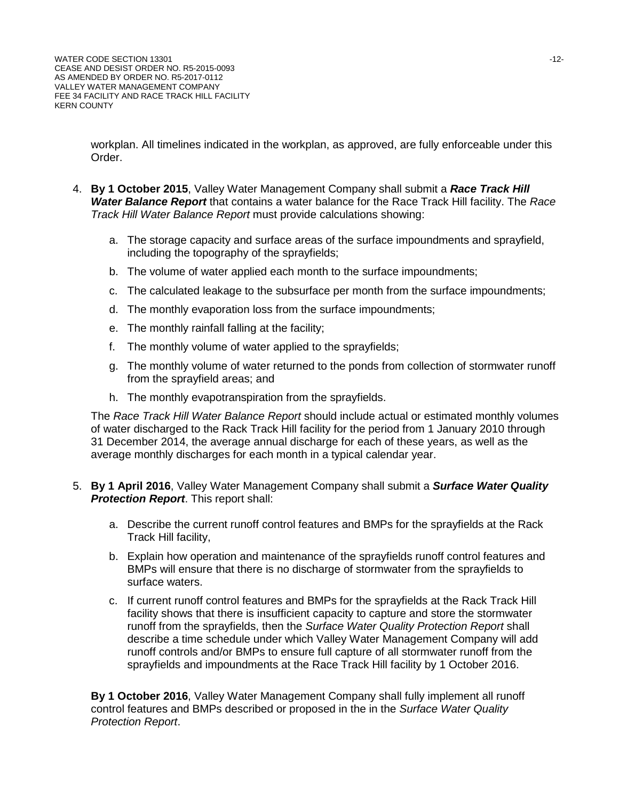workplan. All timelines indicated in the workplan, as approved, are fully enforceable under this Order.

- 4. **By 1 October 2015**, Valley Water Management Company shall submit a *Race Track Hill Water Balance Report* that contains a water balance for the Race Track Hill facility. The *Race Track Hill Water Balance Report* must provide calculations showing:
	- a. The storage capacity and surface areas of the surface impoundments and sprayfield, including the topography of the sprayfields;
	- b. The volume of water applied each month to the surface impoundments;
	- c. The calculated leakage to the subsurface per month from the surface impoundments;
	- d. The monthly evaporation loss from the surface impoundments;
	- e. The monthly rainfall falling at the facility;
	- f. The monthly volume of water applied to the sprayfields;
	- g. The monthly volume of water returned to the ponds from collection of stormwater runoff from the sprayfield areas; and
	- h. The monthly evapotranspiration from the sprayfields.

The *Race Track Hill Water Balance Report* should include actual or estimated monthly volumes of water discharged to the Rack Track Hill facility for the period from 1 January 2010 through 31 December 2014, the average annual discharge for each of these years, as well as the average monthly discharges for each month in a typical calendar year.

- 5. **By 1 April 2016**, Valley Water Management Company shall submit a *Surface Water Quality Protection Report*. This report shall:
	- a. Describe the current runoff control features and BMPs for the sprayfields at the Rack Track Hill facility,
	- b. Explain how operation and maintenance of the sprayfields runoff control features and BMPs will ensure that there is no discharge of stormwater from the sprayfields to surface waters.
	- c. If current runoff control features and BMPs for the sprayfields at the Rack Track Hill facility shows that there is insufficient capacity to capture and store the stormwater runoff from the sprayfields, then the *Surface Water Quality Protection Report* shall describe a time schedule under which Valley Water Management Company will add runoff controls and/or BMPs to ensure full capture of all stormwater runoff from the sprayfields and impoundments at the Race Track Hill facility by 1 October 2016.

**By 1 October 2016**, Valley Water Management Company shall fully implement all runoff control features and BMPs described or proposed in the in the *Surface Water Quality Protection Report*.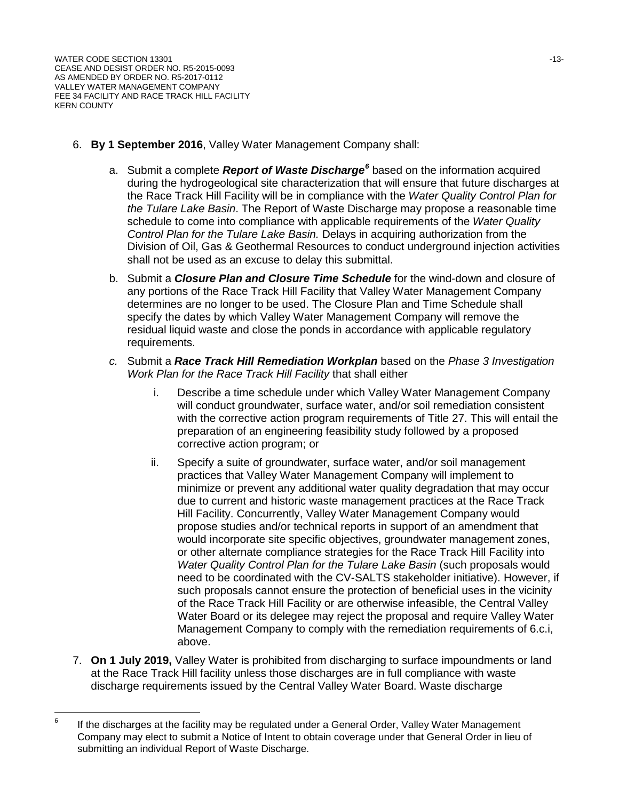- 6. **By 1 September 2016**, Valley Water Management Company shall:
	- a. Submit a complete *Report of Waste Discharge[6](#page-12-0)* based on the information acquired during the hydrogeological site characterization that will ensure that future discharges at the Race Track Hill Facility will be in compliance with the *Water Quality Control Plan for the Tulare Lake Basin*. The Report of Waste Discharge may propose a reasonable time schedule to come into compliance with applicable requirements of the *Water Quality Control Plan for the Tulare Lake Basin.* Delays in acquiring authorization from the Division of Oil, Gas & Geothermal Resources to conduct underground injection activities shall not be used as an excuse to delay this submittal.
	- b. Submit a *Closure Plan and Closure Time Schedule* for the wind-down and closure of any portions of the Race Track Hill Facility that Valley Water Management Company determines are no longer to be used. The Closure Plan and Time Schedule shall specify the dates by which Valley Water Management Company will remove the residual liquid waste and close the ponds in accordance with applicable regulatory requirements.
	- *c.* Submit a *Race Track Hill Remediation Workplan* based on the *Phase 3 Investigation Work Plan for the Race Track Hill Facility* that shall either
		- i. Describe a time schedule under which Valley Water Management Company will conduct groundwater, surface water, and/or soil remediation consistent with the corrective action program requirements of Title 27. This will entail the preparation of an engineering feasibility study followed by a proposed corrective action program; or
		- ii. Specify a suite of groundwater, surface water, and/or soil management practices that Valley Water Management Company will implement to minimize or prevent any additional water quality degradation that may occur due to current and historic waste management practices at the Race Track Hill Facility. Concurrently, Valley Water Management Company would propose studies and/or technical reports in support of an amendment that would incorporate site specific objectives, groundwater management zones, or other alternate compliance strategies for the Race Track Hill Facility into *Water Quality Control Plan for the Tulare Lake Basin (such proposals would* need to be coordinated with the CV-SALTS stakeholder initiative). However, if such proposals cannot ensure the protection of beneficial uses in the vicinity of the Race Track Hill Facility or are otherwise infeasible, the Central Valley Water Board or its delegee may reject the proposal and require Valley Water Management Company to comply with the remediation requirements of 6.c.i, above.
- 7. **On 1 July 2019,** Valley Water is prohibited from discharging to surface impoundments or land at the Race Track Hill facility unless those discharges are in full compliance with waste discharge requirements issued by the Central Valley Water Board. Waste discharge

<span id="page-12-0"></span> $6$  If the discharges at the facility may be regulated under a General Order, Valley Water Management Company may elect to submit a Notice of Intent to obtain coverage under that General Order in lieu of submitting an individual Report of Waste Discharge.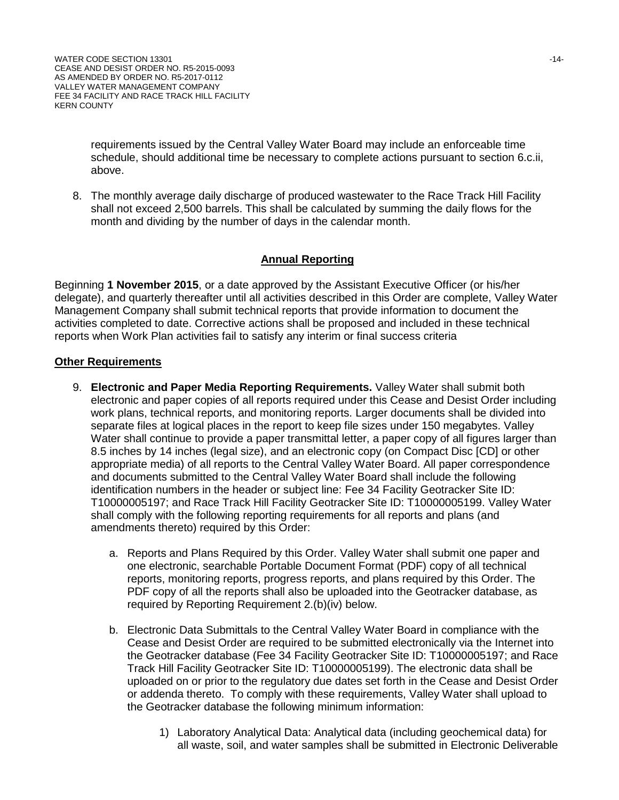requirements issued by the Central Valley Water Board may include an enforceable time schedule, should additional time be necessary to complete actions pursuant to section 6.c.ii, above.

8. The monthly average daily discharge of produced wastewater to the Race Track Hill Facility shall not exceed 2,500 barrels. This shall be calculated by summing the daily flows for the month and dividing by the number of days in the calendar month.

#### **Annual Reporting**

Beginning **1 November 2015**, or a date approved by the Assistant Executive Officer (or his/her delegate), and quarterly thereafter until all activities described in this Order are complete, Valley Water Management Company shall submit technical reports that provide information to document the activities completed to date. Corrective actions shall be proposed and included in these technical reports when Work Plan activities fail to satisfy any interim or final success criteria

#### **Other Requirements**

- 9. **Electronic and Paper Media Reporting Requirements.** Valley Water shall submit both electronic and paper copies of all reports required under this Cease and Desist Order including work plans, technical reports, and monitoring reports. Larger documents shall be divided into separate files at logical places in the report to keep file sizes under 150 megabytes. Valley Water shall continue to provide a paper transmittal letter, a paper copy of all figures larger than 8.5 inches by 14 inches (legal size), and an electronic copy (on Compact Disc [CD] or other appropriate media) of all reports to the Central Valley Water Board. All paper correspondence and documents submitted to the Central Valley Water Board shall include the following identification numbers in the header or subject line: Fee 34 Facility Geotracker Site ID: T10000005197; and Race Track Hill Facility Geotracker Site ID: T10000005199. Valley Water shall comply with the following reporting requirements for all reports and plans (and amendments thereto) required by this Order:
	- a. Reports and Plans Required by this Order. Valley Water shall submit one paper and one electronic, searchable Portable Document Format (PDF) copy of all technical reports, monitoring reports, progress reports, and plans required by this Order. The PDF copy of all the reports shall also be uploaded into the Geotracker database, as required by Reporting Requirement 2.(b)(iv) below.
	- b. Electronic Data Submittals to the Central Valley Water Board in compliance with the Cease and Desist Order are required to be submitted electronically via the Internet into the Geotracker database (Fee 34 Facility Geotracker Site ID: T10000005197; and Race Track Hill Facility Geotracker Site ID: T10000005199). The electronic data shall be uploaded on or prior to the regulatory due dates set forth in the Cease and Desist Order or addenda thereto. To comply with these requirements, Valley Water shall upload to the Geotracker database the following minimum information:
		- 1) Laboratory Analytical Data: Analytical data (including geochemical data) for all waste, soil, and water samples shall be submitted in Electronic Deliverable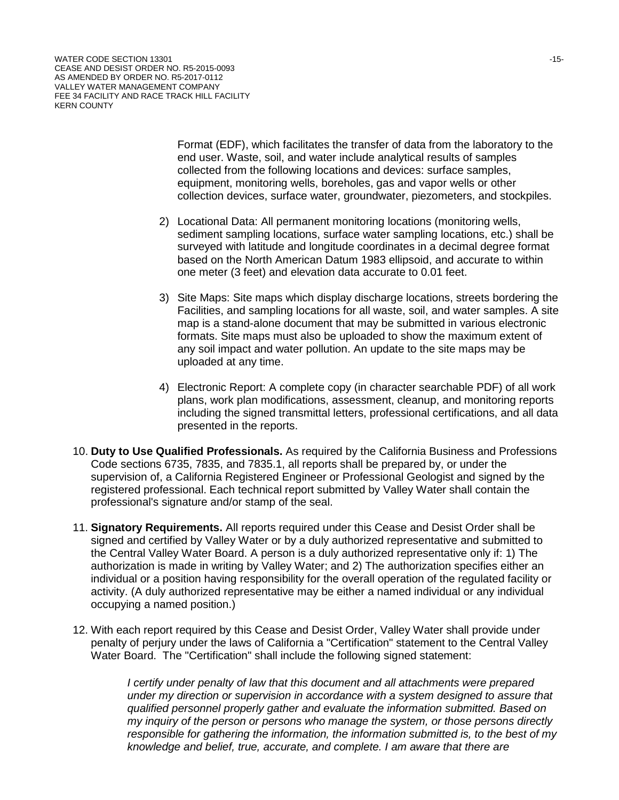Format (EDF), which facilitates the transfer of data from the laboratory to the end user. Waste, soil, and water include analytical results of samples collected from the following locations and devices: surface samples, equipment, monitoring wells, boreholes, gas and vapor wells or other collection devices, surface water, groundwater, piezometers, and stockpiles.

- 2) Locational Data: All permanent monitoring locations (monitoring wells, sediment sampling locations, surface water sampling locations, etc.) shall be surveyed with latitude and longitude coordinates in a decimal degree format based on the North American Datum 1983 ellipsoid, and accurate to within one meter (3 feet) and elevation data accurate to 0.01 feet.
- 3) Site Maps: Site maps which display discharge locations, streets bordering the Facilities, and sampling locations for all waste, soil, and water samples. A site map is a stand-alone document that may be submitted in various electronic formats. Site maps must also be uploaded to show the maximum extent of any soil impact and water pollution. An update to the site maps may be uploaded at any time.
- 4) Electronic Report: A complete copy (in character searchable PDF) of all work plans, work plan modifications, assessment, cleanup, and monitoring reports including the signed transmittal letters, professional certifications, and all data presented in the reports.
- 10. **Duty to Use Qualified Professionals.** As required by the California Business and Professions Code sections 6735, 7835, and 7835.1, all reports shall be prepared by, or under the supervision of, a California Registered Engineer or Professional Geologist and signed by the registered professional. Each technical report submitted by Valley Water shall contain the professional's signature and/or stamp of the seal.
- 11. **Signatory Requirements.** All reports required under this Cease and Desist Order shall be signed and certified by Valley Water or by a duly authorized representative and submitted to the Central Valley Water Board. A person is a duly authorized representative only if: 1) The authorization is made in writing by Valley Water; and 2) The authorization specifies either an individual or a position having responsibility for the overall operation of the regulated facility or activity. (A duly authorized representative may be either a named individual or any individual occupying a named position.)
- 12. With each report required by this Cease and Desist Order, Valley Water shall provide under penalty of perjury under the laws of California a "Certification" statement to the Central Valley Water Board. The "Certification" shall include the following signed statement:

*I certify under penalty of law that this document and all attachments were prepared under my direction or supervision in accordance with a system designed to assure that qualified personnel properly gather and evaluate the information submitted. Based on my inquiry of the person or persons who manage the system, or those persons directly responsible for gathering the information, the information submitted is, to the best of my knowledge and belief, true, accurate, and complete. I am aware that there are*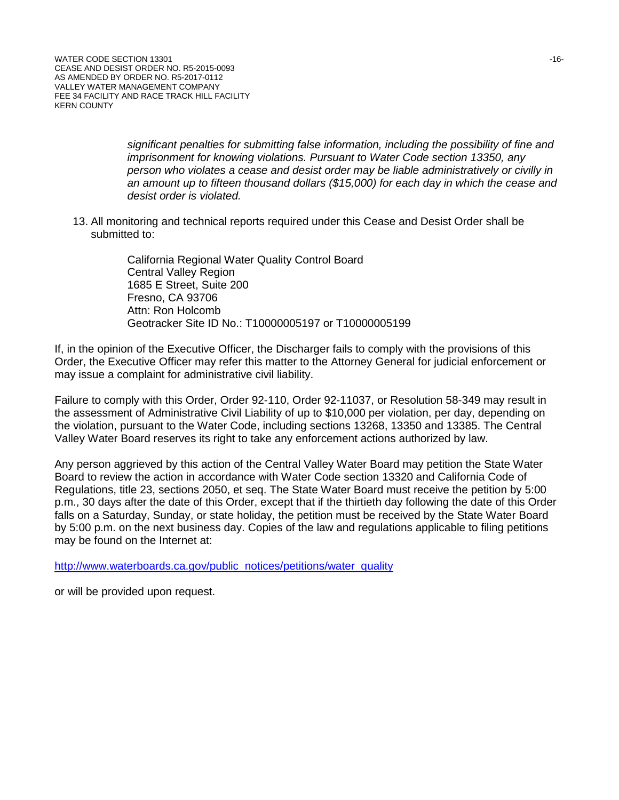*significant penalties for submitting false information, including the possibility of fine and imprisonment for knowing violations. Pursuant to Water Code section 13350, any person who violates a cease and desist order may be liable administratively or civilly in an amount up to fifteen thousand dollars (\$15,000) for each day in which the cease and desist order is violated.*

13. All monitoring and technical reports required under this Cease and Desist Order shall be submitted to:

> California Regional Water Quality Control Board Central Valley Region 1685 E Street, Suite 200 Fresno, CA 93706 Attn: Ron Holcomb Geotracker Site ID No.: T10000005197 or T10000005199

If, in the opinion of the Executive Officer, the Discharger fails to comply with the provisions of this Order, the Executive Officer may refer this matter to the Attorney General for judicial enforcement or may issue a complaint for administrative civil liability.

Failure to comply with this Order, Order 92-110, Order 92-11037, or Resolution 58-349 may result in the assessment of Administrative Civil Liability of up to \$10,000 per violation, per day, depending on the violation, pursuant to the Water Code, including sections 13268, 13350 and 13385. The Central Valley Water Board reserves its right to take any enforcement actions authorized by law.

Any person aggrieved by this action of the Central Valley Water Board may petition the State Water Board to review the action in accordance with Water Code section 13320 and California Code of Regulations, title 23, sections 2050, et seq. The State Water Board must receive the petition by 5:00 p.m., 30 days after the date of this Order, except that if the thirtieth day following the date of this Order falls on a Saturday, Sunday, or state holiday, the petition must be received by the State Water Board by 5:00 p.m. on the next business day. Copies of the law and regulations applicable to filing petitions may be found on the Internet at:

[http://www.waterboards.ca.gov/public\\_notices/petitions/water\\_quality](http://www.waterboards.ca.gov/public_notices/petitions/water_quality)

or will be provided upon request.